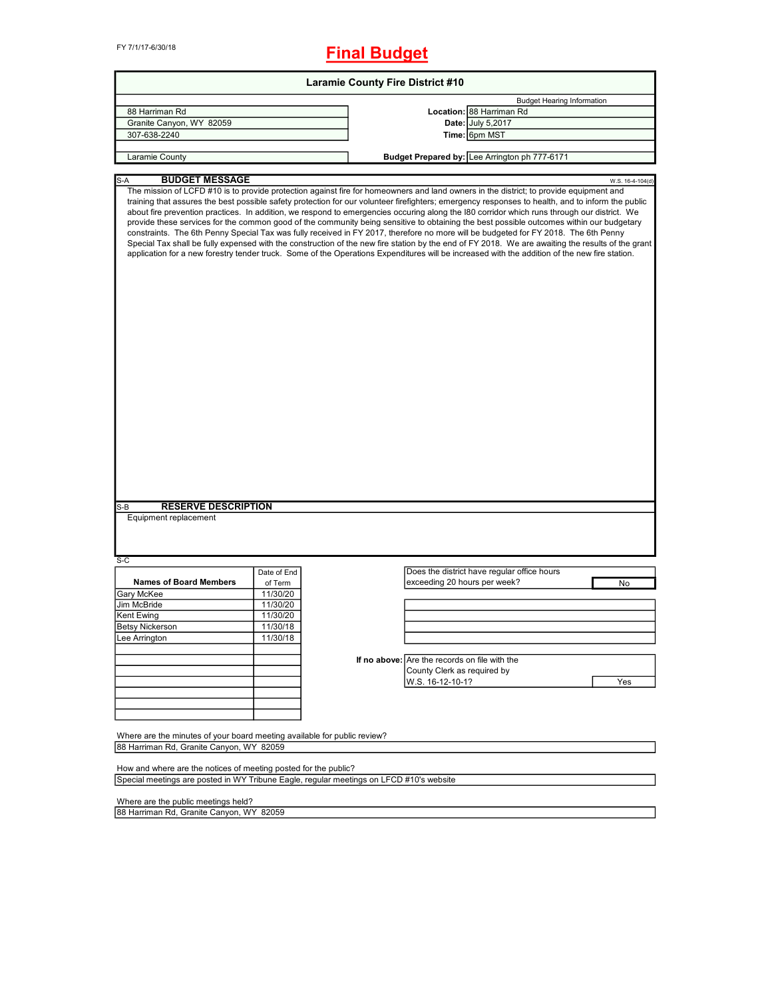FY 7/1/17-6/30/18

## **Final Budget**

| <b>Laramie County Fire District #10</b>                                                                              |             |                                                                                                                                                                                                                                                                                                                                                                                                                                                                                                                                                                                                                                                                                                                                                                                                                                                                                                                                                                                                                                     |  |  |
|----------------------------------------------------------------------------------------------------------------------|-------------|-------------------------------------------------------------------------------------------------------------------------------------------------------------------------------------------------------------------------------------------------------------------------------------------------------------------------------------------------------------------------------------------------------------------------------------------------------------------------------------------------------------------------------------------------------------------------------------------------------------------------------------------------------------------------------------------------------------------------------------------------------------------------------------------------------------------------------------------------------------------------------------------------------------------------------------------------------------------------------------------------------------------------------------|--|--|
|                                                                                                                      |             | <b>Budget Hearing Information</b>                                                                                                                                                                                                                                                                                                                                                                                                                                                                                                                                                                                                                                                                                                                                                                                                                                                                                                                                                                                                   |  |  |
| 88 Harriman Rd                                                                                                       |             | Location: 88 Harriman Rd                                                                                                                                                                                                                                                                                                                                                                                                                                                                                                                                                                                                                                                                                                                                                                                                                                                                                                                                                                                                            |  |  |
| Granite Canyon, WY 82059                                                                                             |             | Date: July 5,2017                                                                                                                                                                                                                                                                                                                                                                                                                                                                                                                                                                                                                                                                                                                                                                                                                                                                                                                                                                                                                   |  |  |
| 307-638-2240                                                                                                         |             | Time: 6pm MST                                                                                                                                                                                                                                                                                                                                                                                                                                                                                                                                                                                                                                                                                                                                                                                                                                                                                                                                                                                                                       |  |  |
|                                                                                                                      |             |                                                                                                                                                                                                                                                                                                                                                                                                                                                                                                                                                                                                                                                                                                                                                                                                                                                                                                                                                                                                                                     |  |  |
| Laramie County                                                                                                       |             | Budget Prepared by: Lee Arrington ph 777-6171                                                                                                                                                                                                                                                                                                                                                                                                                                                                                                                                                                                                                                                                                                                                                                                                                                                                                                                                                                                       |  |  |
| <b>BUDGET MESSAGE</b><br>S-A                                                                                         |             | W.S. 16-4-104(d)                                                                                                                                                                                                                                                                                                                                                                                                                                                                                                                                                                                                                                                                                                                                                                                                                                                                                                                                                                                                                    |  |  |
| <b>RESERVE DESCRIPTION</b><br>S-B<br>Equipment replacement                                                           |             | The mission of LCFD #10 is to provide protection against fire for homeowners and land owners in the district; to provide equipment and<br>training that assures the best possible safety protection for our volunteer firefighters; emergency responses to health, and to inform the public<br>about fire prevention practices. In addition, we respond to emergencies occuring along the I80 corridor which runs through our district. We<br>provide these services for the common good of the community being sensitive to obtaining the best possible outcomes within our budgetary<br>constraints. The 6th Penny Special Tax was fully received in FY 2017, therefore no more will be budgeted for FY 2018. The 6th Penny<br>Special Tax shall be fully expensed with the construction of the new fire station by the end of FY 2018. We are awaiting the results of the grant<br>application for a new forestry tender truck. Some of the Operations Expenditures will be increased with the addition of the new fire station. |  |  |
|                                                                                                                      |             |                                                                                                                                                                                                                                                                                                                                                                                                                                                                                                                                                                                                                                                                                                                                                                                                                                                                                                                                                                                                                                     |  |  |
| S-C                                                                                                                  |             |                                                                                                                                                                                                                                                                                                                                                                                                                                                                                                                                                                                                                                                                                                                                                                                                                                                                                                                                                                                                                                     |  |  |
|                                                                                                                      | Date of End | Does the district have regular office hours                                                                                                                                                                                                                                                                                                                                                                                                                                                                                                                                                                                                                                                                                                                                                                                                                                                                                                                                                                                         |  |  |
| <b>Names of Board Members</b>                                                                                        | of Term     | exceeding 20 hours per week?<br>No                                                                                                                                                                                                                                                                                                                                                                                                                                                                                                                                                                                                                                                                                                                                                                                                                                                                                                                                                                                                  |  |  |
| Gary McKee                                                                                                           | 11/30/20    |                                                                                                                                                                                                                                                                                                                                                                                                                                                                                                                                                                                                                                                                                                                                                                                                                                                                                                                                                                                                                                     |  |  |
| Jim McBride                                                                                                          | 11/30/20    |                                                                                                                                                                                                                                                                                                                                                                                                                                                                                                                                                                                                                                                                                                                                                                                                                                                                                                                                                                                                                                     |  |  |
| Kent Ewing                                                                                                           | 11/30/20    |                                                                                                                                                                                                                                                                                                                                                                                                                                                                                                                                                                                                                                                                                                                                                                                                                                                                                                                                                                                                                                     |  |  |
| <b>Betsy Nickerson</b>                                                                                               | 11/30/18    |                                                                                                                                                                                                                                                                                                                                                                                                                                                                                                                                                                                                                                                                                                                                                                                                                                                                                                                                                                                                                                     |  |  |
| Lee Arrington                                                                                                        | 11/30/18    |                                                                                                                                                                                                                                                                                                                                                                                                                                                                                                                                                                                                                                                                                                                                                                                                                                                                                                                                                                                                                                     |  |  |
|                                                                                                                      |             |                                                                                                                                                                                                                                                                                                                                                                                                                                                                                                                                                                                                                                                                                                                                                                                                                                                                                                                                                                                                                                     |  |  |
|                                                                                                                      |             | If no above: Are the records on file with the                                                                                                                                                                                                                                                                                                                                                                                                                                                                                                                                                                                                                                                                                                                                                                                                                                                                                                                                                                                       |  |  |
|                                                                                                                      |             | County Clerk as required by                                                                                                                                                                                                                                                                                                                                                                                                                                                                                                                                                                                                                                                                                                                                                                                                                                                                                                                                                                                                         |  |  |
|                                                                                                                      |             | W.S. 16-12-10-1?<br>Yes                                                                                                                                                                                                                                                                                                                                                                                                                                                                                                                                                                                                                                                                                                                                                                                                                                                                                                                                                                                                             |  |  |
|                                                                                                                      |             |                                                                                                                                                                                                                                                                                                                                                                                                                                                                                                                                                                                                                                                                                                                                                                                                                                                                                                                                                                                                                                     |  |  |
|                                                                                                                      |             |                                                                                                                                                                                                                                                                                                                                                                                                                                                                                                                                                                                                                                                                                                                                                                                                                                                                                                                                                                                                                                     |  |  |
|                                                                                                                      |             |                                                                                                                                                                                                                                                                                                                                                                                                                                                                                                                                                                                                                                                                                                                                                                                                                                                                                                                                                                                                                                     |  |  |
| Where are the minutes of your board meeting available for public review?<br>88 Harriman Rd, Granite Canyon, WY 82059 |             |                                                                                                                                                                                                                                                                                                                                                                                                                                                                                                                                                                                                                                                                                                                                                                                                                                                                                                                                                                                                                                     |  |  |
|                                                                                                                      |             |                                                                                                                                                                                                                                                                                                                                                                                                                                                                                                                                                                                                                                                                                                                                                                                                                                                                                                                                                                                                                                     |  |  |
| How and where are the notices of meeting posted for the public?                                                      |             |                                                                                                                                                                                                                                                                                                                                                                                                                                                                                                                                                                                                                                                                                                                                                                                                                                                                                                                                                                                                                                     |  |  |
| Special meetings are posted in WY Tribune Eagle, regular meetings on LFCD #10's website                              |             |                                                                                                                                                                                                                                                                                                                                                                                                                                                                                                                                                                                                                                                                                                                                                                                                                                                                                                                                                                                                                                     |  |  |
| Where are the public meetings held?                                                                                  |             |                                                                                                                                                                                                                                                                                                                                                                                                                                                                                                                                                                                                                                                                                                                                                                                                                                                                                                                                                                                                                                     |  |  |
| 88 Harriman Rd, Granite Canyon, WY 82059                                                                             |             |                                                                                                                                                                                                                                                                                                                                                                                                                                                                                                                                                                                                                                                                                                                                                                                                                                                                                                                                                                                                                                     |  |  |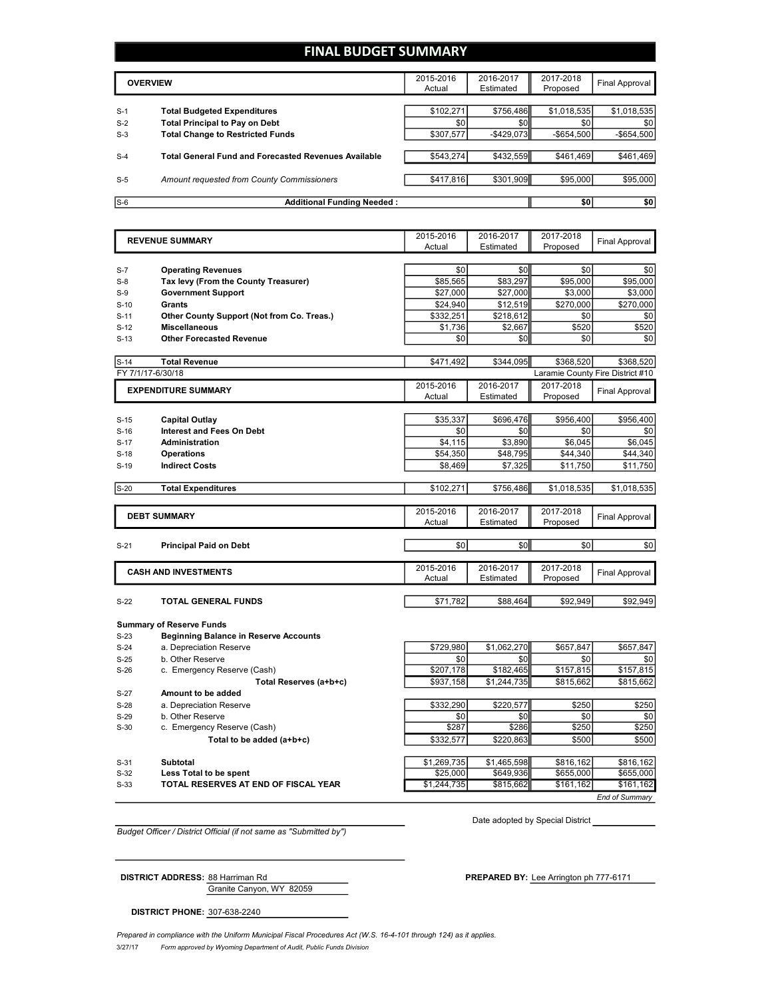## **FINAL BUDGET SUMMARY**

|       | <b>OVERVIEW</b>                                             |           | 2016-2017<br>Estimated | 2017-2018<br>Proposed | Final Approval |
|-------|-------------------------------------------------------------|-----------|------------------------|-----------------------|----------------|
|       |                                                             |           |                        |                       |                |
| $S-1$ | <b>Total Budgeted Expenditures</b>                          | \$102,271 | \$756.486              | \$1,018,535           | \$1,018,535    |
| $S-2$ | <b>Total Principal to Pay on Debt</b>                       | \$0       | \$0                    | \$0                   | \$0            |
| $S-3$ | <b>Total Change to Restricted Funds</b>                     | \$307,577 | $-$ \$429,073          | $-$ \$654.500         | $-$654,500$    |
|       |                                                             |           |                        |                       |                |
| $S-4$ | <b>Total General Fund and Forecasted Revenues Available</b> | \$543,274 | \$432,559              | \$461.469             | \$461,469      |
|       |                                                             |           |                        |                       |                |
| $S-5$ | Amount requested from County Commissioners                  | \$417,816 | \$301,909              | \$95,000              | \$95,000       |
|       |                                                             |           |                        |                       |                |
| $S-6$ | <b>Additional Funding Needed:</b>                           |           |                        | \$0                   | \$0            |

|        | <b>REVENUE SUMMARY</b>                       |           | 2016-2017   | 2017-2018   | <b>Final Approval</b>            |
|--------|----------------------------------------------|-----------|-------------|-------------|----------------------------------|
|        |                                              | Actual    | Estimated   | Proposed    |                                  |
|        |                                              |           |             |             |                                  |
| $S-7$  | <b>Operating Revenues</b>                    | \$0       | \$0         | \$0         | \$0                              |
| $S-8$  | Tax levy (From the County Treasurer)         | \$85,565  | \$83,297    | \$95,000    | \$95,000                         |
| $S-9$  | <b>Government Support</b>                    | \$27,000  | \$27.000    | \$3.000     | \$3.000                          |
| $S-10$ | <b>Grants</b>                                | \$24,940  | \$12,519    | \$270,000   | \$270,000                        |
| $S-11$ | Other County Support (Not from Co. Treas.)   | \$332,251 | \$218,612   | \$0         | \$0                              |
| $S-12$ | <b>Miscellaneous</b>                         | \$1,736   | \$2,667     | \$520       | \$520                            |
| $S-13$ | <b>Other Forecasted Revenue</b>              | \$0       | \$0         | \$0         | \$0                              |
|        |                                              |           |             |             |                                  |
| $S-14$ | <b>Total Revenue</b>                         | \$471,492 | \$344.095   | \$368,520   | \$368.520                        |
|        | FY 7/1/17-6/30/18                            |           |             |             | Laramie County Fire District #10 |
|        | <b>EXPENDITURE SUMMARY</b>                   | 2015-2016 | 2016-2017   | 2017-2018   |                                  |
|        |                                              | Actual    | Estimated   | Proposed    | <b>Final Approval</b>            |
|        |                                              |           |             |             |                                  |
| $S-15$ | <b>Capital Outlay</b>                        | \$35,337  | \$696,476   | \$956,400   | \$956,400                        |
| $S-16$ | <b>Interest and Fees On Debt</b>             | \$0       | \$0         | \$0         | \$0                              |
| $S-17$ | Administration                               | \$4,115   | \$3,890     | \$6,045     | \$6,045                          |
| $S-18$ | <b>Operations</b>                            | \$54,350  | \$48,795    | \$44,340    | \$44,340                         |
| $S-19$ | <b>Indirect Costs</b>                        | \$8,469   | \$7,325     | \$11,750    | \$11,750                         |
|        |                                              |           |             |             |                                  |
| $S-20$ | <b>Total Expenditures</b>                    | \$102,271 | \$756,486   | \$1,018,535 | \$1,018,535                      |
|        |                                              |           |             |             |                                  |
|        | <b>DEBT SUMMARY</b>                          | 2015-2016 | 2016-2017   | 2017-2018   |                                  |
|        |                                              | Actual    | Estimated   | Proposed    | <b>Final Approval</b>            |
|        |                                              |           |             |             |                                  |
| $S-21$ | <b>Principal Paid on Debt</b>                | \$0       | \$0         | \$0         | \$0                              |
|        |                                              |           |             |             |                                  |
|        | <b>CASH AND INVESTMENTS</b>                  | 2015-2016 | 2016-2017   | 2017-2018   | <b>Final Approval</b>            |
|        |                                              | Actual    | Estimated   | Proposed    |                                  |
|        |                                              |           |             |             |                                  |
| $S-22$ | TOTAL GENERAL FUNDS                          | \$71,782  | \$88,464    | \$92,949    | \$92,949                         |
|        |                                              |           |             |             |                                  |
|        | <b>Summary of Reserve Funds</b>              |           |             |             |                                  |
| $S-23$ | <b>Beginning Balance in Reserve Accounts</b> |           |             |             |                                  |
| $S-24$ | a. Depreciation Reserve                      | \$729.980 | \$1,062,270 | \$657.847   | \$657,847                        |
| $S-25$ | b. Other Reserve                             | \$0       | \$0         | \$0         | \$0                              |
| $S-26$ | c. Emergency Reserve (Cash)                  | \$207,178 | \$182,465   | \$157,815   | \$157,815                        |
|        | Total Reserves (a+b+c)                       | \$937,158 | \$1,244,735 | \$815,662   | \$815,662                        |
| $S-27$ | Amount to be added                           |           |             |             |                                  |
| $S-28$ | a. Depreciation Reserve                      | \$332,290 | \$220,577   | \$250       | \$250                            |
| $S-29$ | b. Other Reserve                             | \$0       | \$0         | \$0         | \$0                              |
| $S-30$ | c. Emergency Reserve (Cash)                  | \$287     | \$286       | \$250       | \$250                            |
|        | Total to be added (a+b+c)                    | \$332,577 | \$220.863   | \$500       | \$500                            |

| $S-30$ | c. Emergency Reserve (Cash)          | \$287       | \$286       | \$250     | \$250                 |
|--------|--------------------------------------|-------------|-------------|-----------|-----------------------|
|        | Total to be added (a+b+c)            | \$332.577   | \$220.863   | \$500     | \$500                 |
|        |                                      |             |             |           |                       |
| $S-31$ | Subtotal                             | \$1.269.735 | \$1.465.598 | \$816.162 | \$816.162             |
| S-32   | Less Total to be spent               | \$25,000    | \$649.936   | \$655,000 | \$655,000             |
| $S-33$ | TOTAL RESERVES AT END OF FISCAL YEAR | \$1,244,735 | \$815,662   | \$161.162 | \$161.162             |
|        |                                      |             |             |           | <b>End of Summary</b> |

Date adopted by Special District

*Budget Officer / District Official (if not same as "Submitted by")*

Granite Canyon, WY 82059

**DISTRICT ADDRESS:** 88 Harriman Rd **PREPARED** BY: Lee Arrington ph 777-6171

**DISTRICT PHONE:** 307-638-2240

3/27/17 *Form approved by Wyoming Department of Audit, Public Funds Division* Prepared in compliance with the Uniform Municipal Fiscal Procedures Act (W.S. 16-4-101 through 124) as it applies.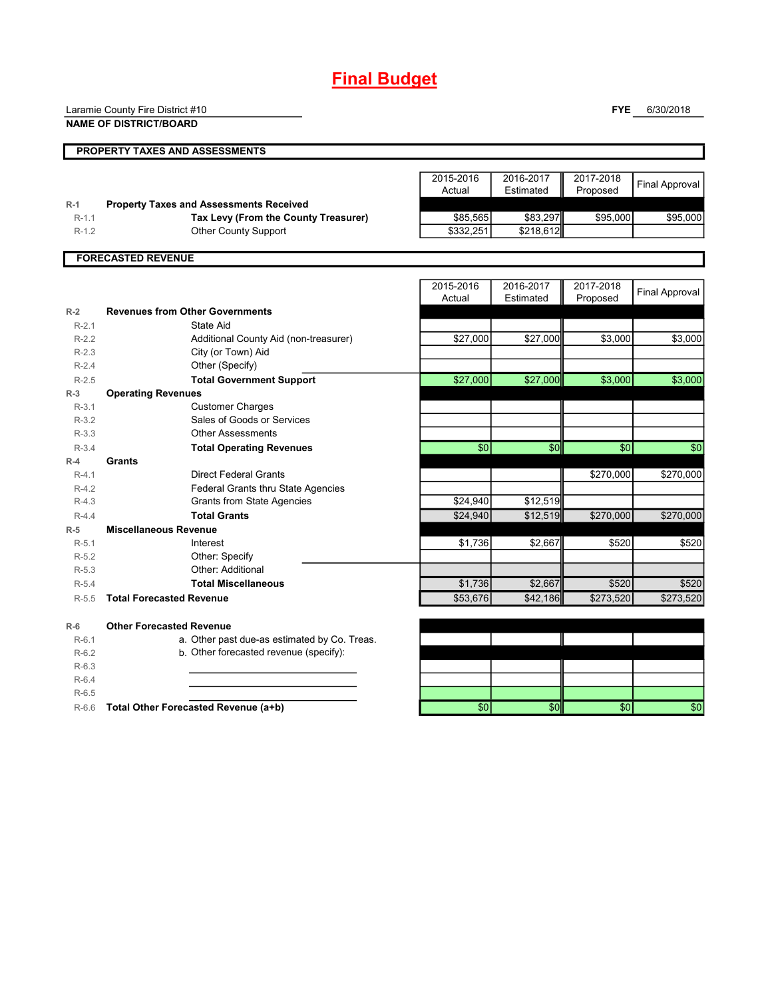# **Final Budget**

Laramie County Fire District #10

**NAME OF DISTRICT/BOARD**

**FYE** 6/30/2018

|         | <b>NAME OF DISTRICT/BOARD</b>                  |                 |               |            |                       |
|---------|------------------------------------------------|-----------------|---------------|------------|-----------------------|
|         | PROPERTY TAXES AND ASSESSMENTS                 |                 |               |            |                       |
|         |                                                | 2015-2016       | 2016-2017     | 2017-2018  |                       |
|         |                                                | Actual          | Estimated     | Proposed   | <b>Final Approval</b> |
| $R-1$   | <b>Property Taxes and Assessments Received</b> |                 |               |            |                       |
| $R-1.1$ | Tax Levy (From the County Treasurer)           | \$85,565        | \$83,297      | \$95,000   | \$95,000              |
| $R-1.2$ | <b>Other County Support</b>                    | \$332,251       | \$218,612     |            |                       |
|         |                                                |                 |               |            |                       |
|         | <b>FORECASTED REVENUE</b>                      |                 |               |            |                       |
|         |                                                | 2015-2016       | 2016-2017     | 2017-2018  | <b>Final Approval</b> |
|         |                                                | Actual          | Estimated     | Proposed   |                       |
| $R-2$   | <b>Revenues from Other Governments</b>         |                 |               |            |                       |
| $R-2.1$ | State Aid                                      |                 |               |            |                       |
| $R-2.2$ | Additional County Aid (non-treasurer)          | \$27,000        | \$27,000      | \$3,000    | \$3,000               |
| $R-2.3$ | City (or Town) Aid                             |                 |               |            |                       |
| $R-2.4$ | Other (Specify)                                |                 |               |            |                       |
| $R-2.5$ | <b>Total Government Support</b>                | \$27,000        | \$27,000      | \$3,000    | \$3,000               |
| $R-3$   | <b>Operating Revenues</b>                      |                 |               |            |                       |
| $R-3.1$ | <b>Customer Charges</b>                        |                 |               |            |                       |
| $R-3.2$ | Sales of Goods or Services                     |                 |               |            |                       |
| $R-3.3$ | <b>Other Assessments</b>                       |                 |               |            |                       |
| $R-3.4$ | <b>Total Operating Revenues</b>                | $\overline{30}$ | $\frac{6}{5}$ | $\sqrt{6}$ | $\overline{50}$       |
| $R-4$   | Grants                                         |                 |               |            |                       |
| $R-4.1$ | <b>Direct Federal Grants</b>                   |                 |               | \$270,000  | \$270,000             |
| $R-4.2$ | Federal Grants thru State Agencies             |                 |               |            |                       |
| $R-4.3$ | <b>Grants from State Agencies</b>              | \$24,940        | \$12,519      |            |                       |
| $R-4.4$ | <b>Total Grants</b>                            | \$24,940        | \$12,519      | \$270,000  | \$270,000             |
| $R-5$   | <b>Miscellaneous Revenue</b>                   |                 |               |            |                       |
| $R-5.1$ | Interest                                       | \$1,736         | \$2,667       | \$520      | \$520                 |
| $R-5.2$ | Other: Specify                                 |                 |               |            |                       |
| $R-5.3$ | Other: Additional                              |                 |               |            |                       |
| $R-5.4$ | <b>Total Miscellaneous</b>                     | \$1,736         | \$2,667       | \$520      | \$520                 |
| $R-5.5$ | <b>Total Forecasted Revenue</b>                | \$53,676        | \$42,186      | \$273,520  | \$273,520             |
| $R-6$   | <b>Other Forecasted Revenue</b>                |                 |               |            |                       |
| $R-6.1$ | a. Other past due-as estimated by Co. Treas.   |                 |               |            |                       |
| $R-6.2$ | b. Other forecasted revenue (specify):         |                 |               |            |                       |
| $R-6.3$ |                                                |                 |               |            |                       |
|         |                                                |                 |               |            |                       |

R-6.4 R-6.5

R-6.6 **Total Other Forecasted Revenue (a+b)** \$0 \$0 \$0 \$0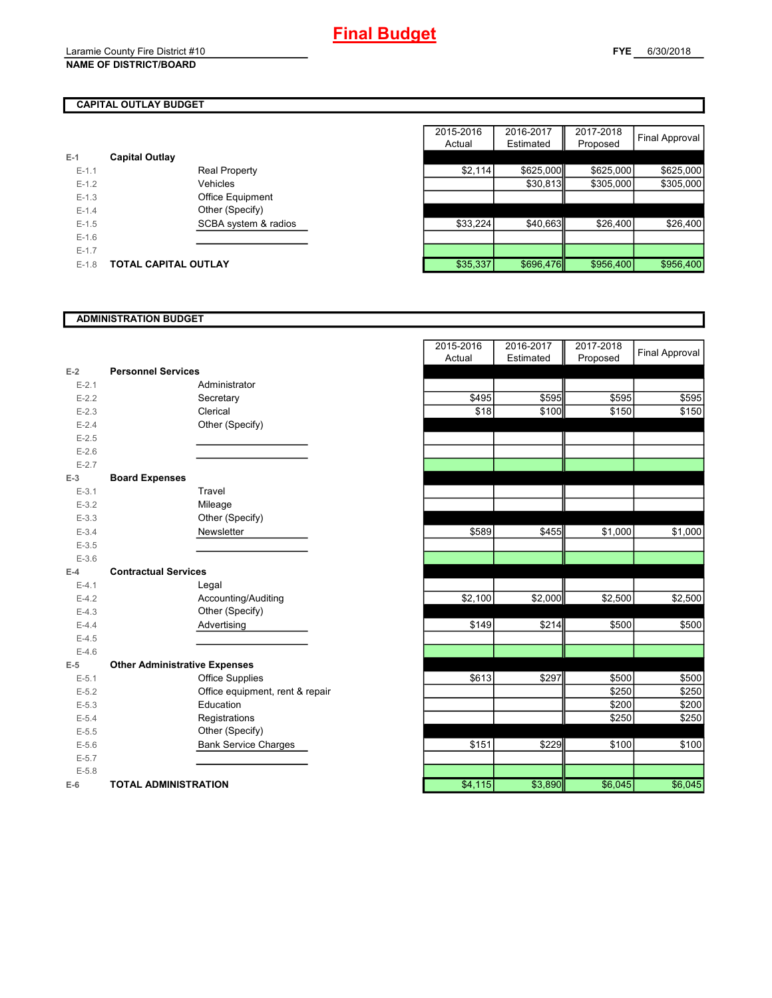## **CAPITAL OUTLAY BUDGET**

| E-1       | <b>Capital Outlay</b> |                         |
|-----------|-----------------------|-------------------------|
| $E - 1.1$ |                       | <b>Real Property</b>    |
| $F-12$    |                       | Vehicles                |
| $F-1.3$   |                       | <b>Office Equipment</b> |
| $F-14$    |                       | Other (Specify)         |
| $F-1.5$   |                       | SCBA system & radios    |
| $F-16$    |                       |                         |
| $F-17$    |                       |                         |
| $F-1.8$   | TOTAL CAPITAL OUTLAY  |                         |

|         |                             |                      | 2015-2016 | 2016-2017 | 2017-2018 |                |
|---------|-----------------------------|----------------------|-----------|-----------|-----------|----------------|
|         |                             |                      | Actual    | Estimated | Proposed  | Final Approval |
|         | <b>Capital Outlay</b>       |                      |           |           |           |                |
| $E-1.1$ |                             | <b>Real Property</b> | \$2,114   | \$625,000 | \$625,000 | \$625,000      |
| $E-1.2$ |                             | Vehicles             |           | \$30,813  | \$305,000 | \$305,000      |
| $E-1.3$ |                             | Office Equipment     |           |           |           |                |
| $E-1.4$ |                             | Other (Specify)      |           |           |           |                |
| $E-1.5$ |                             | SCBA system & radios | \$33,224  | \$40,663  | \$26,400  | \$26,400       |
| $E-1.6$ |                             |                      |           |           |           |                |
| $E-1.7$ |                             |                      |           |           |           |                |
| $E-1.8$ | <b>TOTAL CAPITAL OUTLAY</b> |                      | \$35,337  | \$696,476 | \$956,400 | \$956,400      |

#### **ADMINISTRATION BUDGET**

| $E-2$     | <b>Personnel Services</b>            |                              |
|-----------|--------------------------------------|------------------------------|
| $E - 2.1$ |                                      | Administrator                |
| $E-2.2$   |                                      | Secretary                    |
| $E - 2.3$ |                                      | Clerical                     |
| $E-2.4$   |                                      | Other (Specify)              |
| $E - 2.5$ |                                      |                              |
| $E-2.6$   |                                      |                              |
| $E - 2.7$ |                                      |                              |
| $E-3$     | <b>Board Expenses</b>                |                              |
| $E - 3.1$ |                                      | Travel                       |
| $E - 3.2$ |                                      | Mileage                      |
| $E - 3.3$ |                                      | Other (Specify)              |
| $E - 3.4$ |                                      | Newsletter                   |
| $E - 3.5$ |                                      |                              |
| $E - 3.6$ |                                      |                              |
| $F-4$     | <b>Contractual Services</b>          |                              |
| $E - 4.1$ |                                      | Legal                        |
| $E-4.2$   |                                      | Accounting/Auditing          |
| $E-4.3$   |                                      | Other (Specify)              |
| $E-4.4$   |                                      | Advertising                  |
| $E-4.5$   |                                      |                              |
| $E-4.6$   |                                      |                              |
| $E-5$     | <b>Other Administrative Expenses</b> |                              |
| $E - 5.1$ |                                      | <b>Office Supplies</b>       |
| $E - 5.2$ |                                      | Office equipment, rent & rep |
| $E - 5.3$ |                                      | Education                    |
| $E - 5.4$ |                                      | Registrations                |
| $E - 5.5$ |                                      | Other (Specify)              |
| $E - 5.6$ |                                      | <b>Bank Service Charges</b>  |
| $E - 5.7$ |                                      |                              |
| $E - 5.8$ |                                      |                              |
| $E-6$     | <b>TOTAL ADMINISTRATION</b>          |                              |

|                          |                                      | 2015-2016<br>Actual | 2016-2017<br>Estimated | 2017-2018<br>Proposed | <b>Final Approval</b> |
|--------------------------|--------------------------------------|---------------------|------------------------|-----------------------|-----------------------|
| Ż                        | <b>Personnel Services</b>            |                     |                        |                       |                       |
| $E - 2.1$                | Administrator                        |                     |                        |                       |                       |
| $E - 2.2$                | Secretary                            | \$495               | \$595                  | \$595                 | \$595                 |
| $E - 2.3$                | Clerical                             | \$18                | \$100                  | \$150                 | \$150                 |
| $E - 2.4$                | Other (Specify)                      |                     |                        |                       |                       |
| $E-2.5$                  |                                      |                     |                        |                       |                       |
| $E - 2.6$                |                                      |                     |                        |                       |                       |
| $E - 2.7$                |                                      |                     |                        |                       |                       |
| $\overline{\phantom{0}}$ | <b>Board Expenses</b>                |                     |                        |                       |                       |
| $E - 3.1$                | Travel                               |                     |                        |                       |                       |
| $E - 3.2$                | Mileage                              |                     |                        |                       |                       |
| $E - 3.3$                | Other (Specify)                      |                     |                        |                       |                       |
| $E-3.4$                  | Newsletter                           | \$589               | \$455                  | \$1,000               | \$1,000               |
| $E-3.5$                  |                                      |                     |                        |                       |                       |
| $E - 3.6$                |                                      |                     |                        |                       |                       |
| l.                       | <b>Contractual Services</b>          |                     |                        |                       |                       |
| $E - 4.1$                | Legal                                |                     |                        |                       |                       |
| $E-4.2$                  | Accounting/Auditing                  | \$2,100             | \$2,000                | \$2,500               | \$2,500               |
| $E-4.3$                  | Other (Specify)                      |                     |                        |                       |                       |
| $E - 4.4$                | Advertising                          | \$149               | \$214                  | \$500                 | \$500                 |
| $E-4.5$                  |                                      |                     |                        |                       |                       |
| $E - 4.6$                |                                      |                     |                        |                       |                       |
| 5                        | <b>Other Administrative Expenses</b> |                     |                        |                       |                       |
| $E - 5.1$                | <b>Office Supplies</b>               | \$613               | \$297                  | \$500                 | \$500                 |
| $E - 5.2$                | Office equipment, rent & repair      |                     |                        | \$250                 | \$250                 |
| $E - 5.3$                | Education                            |                     |                        | \$200                 | \$200                 |
| $E - 5.4$                | Registrations                        |                     |                        | \$250                 | \$250                 |
| $E - 5.5$                | Other (Specify)                      |                     |                        |                       |                       |
| $E - 5.6$                | <b>Bank Service Charges</b>          | \$151               | \$229                  | \$100                 | \$100                 |
| $E - 5.7$                |                                      |                     |                        |                       |                       |
| $E - 5.8$                |                                      |                     |                        |                       |                       |
| ì                        | <b>TOTAL ADMINISTRATION</b>          | \$4,115             | \$3,890                | \$6,045               | \$6,045               |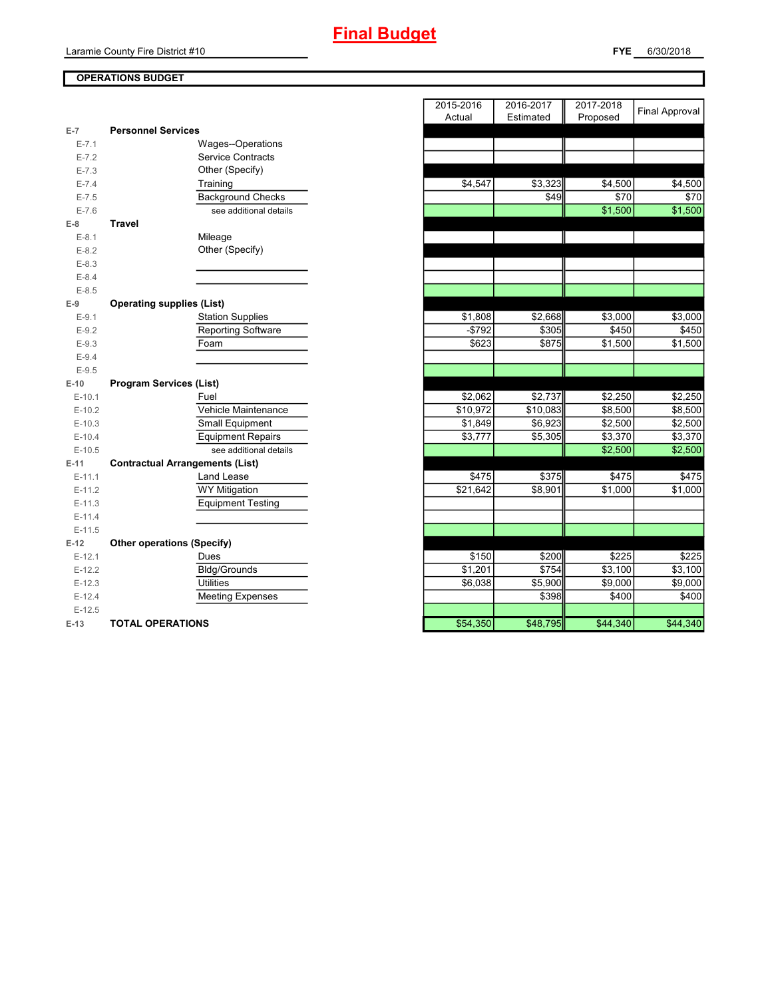# **Final Budget**

**FYE** 6/30/2018

## **OPERATIONS BUDGET**

| E-7       | <b>Personnel Services</b>              |
|-----------|----------------------------------------|
| $E - 7.1$ | Wages--Operations                      |
| $E - 7.2$ | <b>Service Contracts</b>               |
| $E - 7.3$ | Other (Specify)                        |
| $E - 7.4$ | Training                               |
| $E - 7.5$ | <b>Background Checks</b>               |
| $E - 7.6$ | see additional details                 |
| $E-8$     | <b>Travel</b>                          |
| $E-8.1$   | Mileage                                |
| $E-8.2$   | Other (Specify)                        |
| $E-8.3$   |                                        |
| $E-8.4$   |                                        |
| $E - 8.5$ |                                        |
| $E-9$     | <b>Operating supplies (List)</b>       |
| $E-9.1$   | <b>Station Supplies</b>                |
| $E-9.2$   | <b>Reporting Software</b>              |
| $E-9.3$   | Foam                                   |
| $E-9.4$   |                                        |
| $E-9.5$   |                                        |
| $E-10$    | <b>Program Services (List)</b>         |
|           |                                        |
| $E-10.1$  | Fuel                                   |
| $E-10.2$  | Vehicle Maintenance                    |
| $E-10.3$  | Small Equipment                        |
| $E-10.4$  | <b>Equipment Repairs</b>               |
| $E-10.5$  | see additional details                 |
| $E-11$    | <b>Contractual Arrangements (List)</b> |
| $E-11.1$  | Land Lease                             |
| $E-11.2$  | <b>WY Mitigation</b>                   |
| $E-11.3$  | <b>Equipment Testing</b>               |
| $E-11.4$  |                                        |
| $E-11.5$  |                                        |
| $E-12$    | <b>Other operations (Specify)</b>      |
| $E-12.1$  | Dues                                   |
| $E-12.2$  | <b>Bldg/Grounds</b>                    |
| $E-12.3$  | Utilities                              |
| $E-12.4$  | <b>Meeting Expenses</b>                |
| $E-12.5$  |                                        |

|           |                                        | 2015-2016<br>Actual | 2016-2017<br>Estimated | 2017-2018<br>Proposed | <b>Final Approval</b> |
|-----------|----------------------------------------|---------------------|------------------------|-----------------------|-----------------------|
| $E-7$     | <b>Personnel Services</b>              |                     |                        |                       |                       |
| $E - 7.1$ | Wages--Operations                      |                     |                        |                       |                       |
| $E - 7.2$ | <b>Service Contracts</b>               |                     |                        |                       |                       |
| $E - 7.3$ | Other (Specify)                        |                     |                        |                       |                       |
| $E - 7.4$ | Training                               | \$4,547             | \$3,323                | \$4,500               | \$4,500               |
| $E - 7.5$ | <b>Background Checks</b>               |                     | \$49                   | \$70                  | \$70                  |
| $E - 7.6$ | see additional details                 |                     |                        | \$1,500               | \$1,500               |
| $E-8$     | <b>Travel</b>                          |                     |                        |                       |                       |
| $E-8.1$   | Mileage                                |                     |                        |                       |                       |
| $E - 8.2$ | Other (Specify)                        |                     |                        |                       |                       |
| $E - 8.3$ |                                        |                     |                        |                       |                       |
| $E - 8.4$ |                                        |                     |                        |                       |                       |
| $E-8.5$   |                                        |                     |                        |                       |                       |
| $E-9$     | <b>Operating supplies (List)</b>       |                     |                        |                       |                       |
| $E-9.1$   | <b>Station Supplies</b>                | \$1,808             | \$2,668                | \$3,000               | \$3,000               |
| $E-9.2$   | <b>Reporting Software</b>              | $-$792$             | \$305                  | \$450                 | \$450                 |
| $E-9.3$   | Foam                                   | \$623               | \$875                  | \$1,500               | \$1,500               |
| $E-9.4$   |                                        |                     |                        |                       |                       |
| $E-9.5$   |                                        |                     |                        |                       |                       |
| E-10      | <b>Program Services (List)</b>         |                     |                        |                       |                       |
| $E-10.1$  | Fuel                                   | \$2,062             | \$2,737                | \$2,250               | \$2,250               |
| $E-10.2$  | Vehicle Maintenance                    | \$10,972            | \$10,083               | \$8,500               | \$8,500               |
| $E-10.3$  | Small Equipment                        | \$1,849             | \$6,923                | \$2,500               | \$2,500               |
| $E-10.4$  | <b>Equipment Repairs</b>               | \$3,777             | \$5,305                | \$3,370               | \$3,370               |
| $E-10.5$  | see additional details                 |                     |                        | \$2,500               | \$2,500               |
| E-11      | <b>Contractual Arrangements (List)</b> |                     |                        |                       |                       |
| $E-11.1$  | Land Lease                             | \$475               | \$375                  | \$475                 | \$475                 |
| $E-11.2$  | <b>WY Mitigation</b>                   | \$21,642            | $\overline{$8,901}$    | $\overline{$1,000}$   | \$1,000               |
| $E-11.3$  | <b>Equipment Testing</b>               |                     |                        |                       |                       |
| $E-11.4$  |                                        |                     |                        |                       |                       |
| $E-11.5$  |                                        |                     |                        |                       |                       |
| $E-12$    | <b>Other operations (Specify)</b>      |                     |                        |                       |                       |
| $E-12.1$  | Dues                                   | \$150               | \$200                  | \$225                 | \$225                 |
| $E-12.2$  | <b>Bldg/Grounds</b>                    | \$1,201             | \$754                  | \$3,100               | \$3,100               |
| $E-12.3$  | <b>Utilities</b>                       | \$6,038             | \$5,900                | \$9,000               | \$9,000               |
| $E-12.4$  | <b>Meeting Expenses</b>                |                     | \$398                  | \$400                 | \$400                 |
| $E-12.5$  |                                        |                     |                        |                       |                       |
| $E-13$    | <b>TOTAL OPERATIONS</b>                | \$54,350            | \$48,795               | \$44,340              | \$44,340              |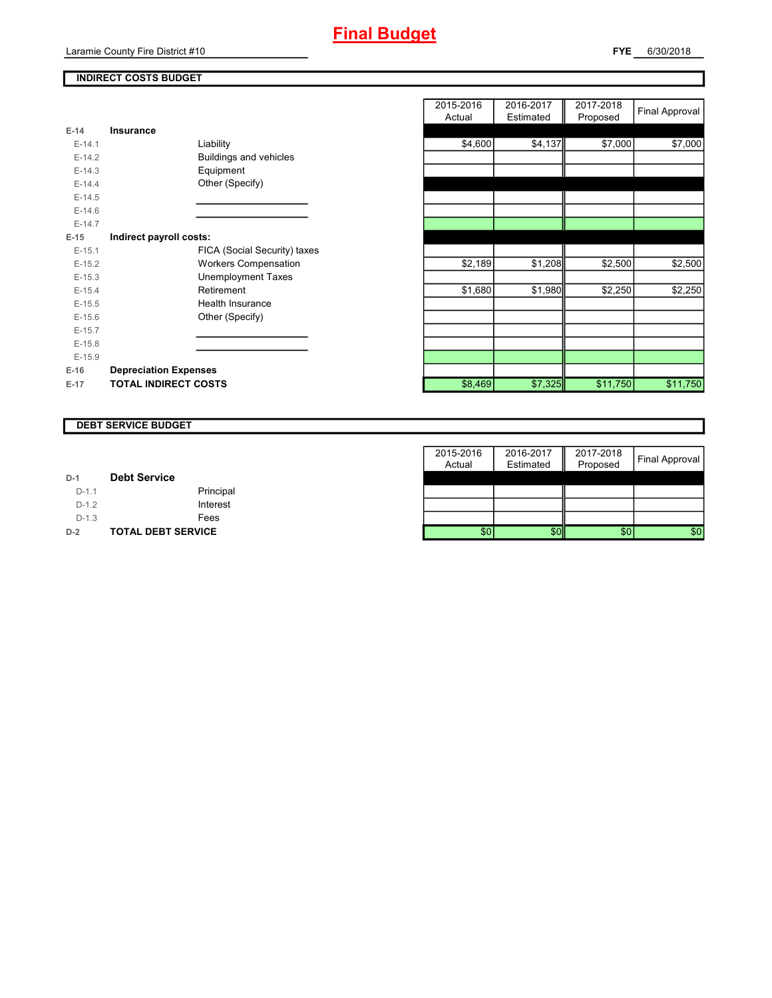## **INDIRECT COSTS BUDGET**

| $E-14$   | Insurance                     |
|----------|-------------------------------|
| $E-14.1$ | Liability                     |
| $E-14.2$ | <b>Buildings and vehicles</b> |
| $F-14.3$ | Equipment                     |
| $E-14.4$ | Other (Specify)               |
| $E-14.5$ |                               |
| $F-146$  |                               |
| $F-147$  |                               |
| E-15     | Indirect payroll costs:       |
| $F-151$  | FICA (Social Security) taxes  |
| $E-15.2$ | <b>Workers Compensation</b>   |
| $F-15.3$ | <b>Unemployment Taxes</b>     |
| $E-15.4$ | Retirement                    |
| $E-15.5$ | Health Insurance              |
| $E-15.6$ | Other (Specify)               |
| $F-157$  |                               |
| $E-15.8$ |                               |
| $E-15.9$ |                               |
| $E-16$   | <b>Depreciation Expenses</b>  |
| $E-17$   | <b>TOTAL INDIRECT COSTS</b>   |

|          |                              | 2015-2016<br>Actual | 2016-2017<br>Estimated | 2017-2018<br>Proposed | <b>Final Approval</b> |
|----------|------------------------------|---------------------|------------------------|-----------------------|-----------------------|
| $E-14$   | Insurance                    |                     |                        |                       |                       |
| $E-14.1$ | Liability                    | \$4,600             | \$4,137                | \$7,000               | \$7,000               |
| $E-14.2$ | Buildings and vehicles       |                     |                        |                       |                       |
| $E-14.3$ | Equipment                    |                     |                        |                       |                       |
| $E-14.4$ | Other (Specify)              |                     |                        |                       |                       |
| $E-14.5$ |                              |                     |                        |                       |                       |
| $E-14.6$ |                              |                     |                        |                       |                       |
| $E-14.7$ |                              |                     |                        |                       |                       |
| $E-15$   | Indirect payroll costs:      |                     |                        |                       |                       |
| $E-15.1$ | FICA (Social Security) taxes |                     |                        |                       |                       |
| $E-15.2$ | <b>Workers Compensation</b>  | \$2,189             | \$1,208                | \$2,500               | \$2,500               |
| $E-15.3$ | <b>Unemployment Taxes</b>    |                     |                        |                       |                       |
| $E-15.4$ | Retirement                   | \$1,680             | \$1,980                | \$2,250               | \$2,250               |
| $E-15.5$ | Health Insurance             |                     |                        |                       |                       |
| $E-15.6$ | Other (Specify)              |                     |                        |                       |                       |
| $E-15.7$ |                              |                     |                        |                       |                       |
| $E-15.8$ |                              |                     |                        |                       |                       |
| $E-15.9$ |                              |                     |                        |                       |                       |
| E-16     | <b>Depreciation Expenses</b> |                     |                        |                       |                       |
| E-17     | <b>TOTAL INDIRECT COSTS</b>  | \$8,469             | \$7,325                | \$11,750              | \$11,750              |

#### **DEBT SERVICE BUDGET**

|         |                           | 2015-2016 | 2016-2017 | 2017-2018        |                |
|---------|---------------------------|-----------|-----------|------------------|----------------|
|         |                           | Actual    | Estimated | Proposed         | Final Approval |
| $D-1$   | <b>Debt Service</b>       |           |           |                  |                |
| $D-1.1$ | Principal                 |           |           |                  |                |
| $D-1.2$ | Interest                  |           |           |                  |                |
| $D-1.3$ | Fees                      |           |           |                  |                |
| $D-2$   | <b>TOTAL DEBT SERVICE</b> | \$0       | \$0       | \$0 <sub>1</sub> | \$0            |